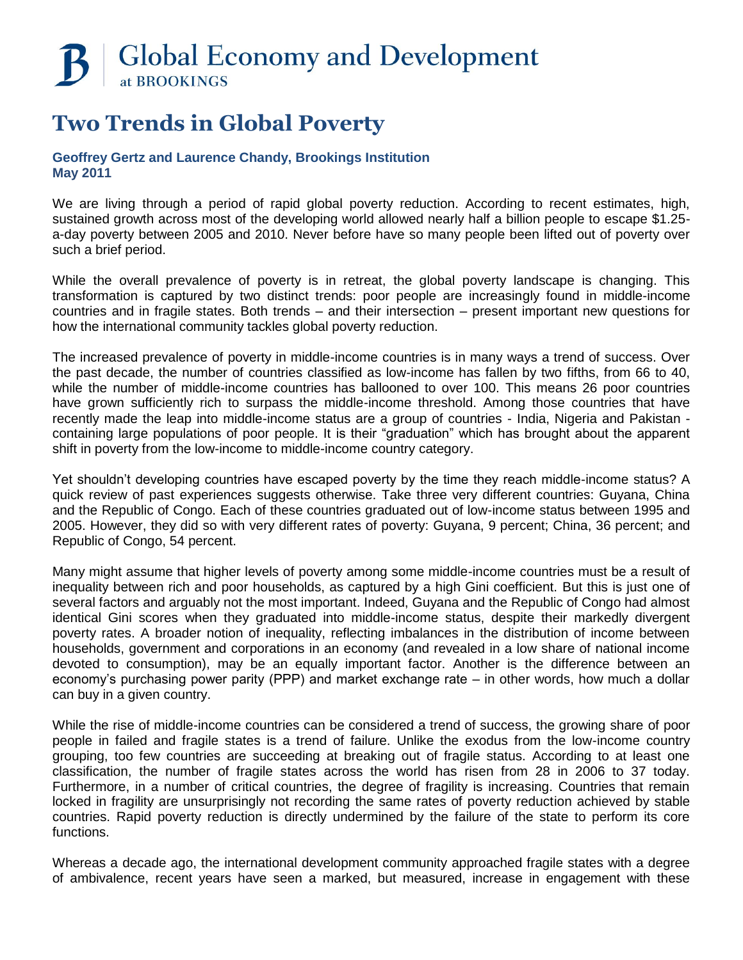# **B** | Global Economy and Development at BROOKINGS

## **Two Trends in Global Poverty**

## **Geoffrey Gertz and Laurence Chandy, Brookings Institution May 2011**

We are living through a period of rapid global poverty reduction. According to recent estimates, high, sustained growth across most of the developing world allowed nearly half a billion people to escape \$1.25 a-day poverty between 2005 and 2010. Never before have so many people been lifted out of poverty over such a brief period.

While the overall prevalence of poverty is in retreat, the global poverty landscape is changing. This transformation is captured by two distinct trends: poor people are increasingly found in middle-income countries and in fragile states. Both trends – and their intersection – present important new questions for how the international community tackles global poverty reduction.

The increased prevalence of poverty in middle-income countries is in many ways a trend of success. Over the past decade, the number of countries classified as low-income has fallen by two fifths, from 66 to 40, while the number of middle-income countries has ballooned to over 100. This means 26 poor countries have grown sufficiently rich to surpass the middle-income threshold. Among those countries that have recently made the leap into middle-income status are a group of countries - India, Nigeria and Pakistan containing large populations of poor people. It is their "graduation" which has brought about the apparent shift in poverty from the low-income to middle-income country category.

Yet shouldn't developing countries have escaped poverty by the time they reach middle-income status? A quick review of past experiences suggests otherwise. Take three very different countries: Guyana, China and the Republic of Congo. Each of these countries graduated out of low-income status between 1995 and 2005. However, they did so with very different rates of poverty: Guyana, 9 percent; China, 36 percent; and Republic of Congo, 54 percent.

Many might assume that higher levels of poverty among some middle-income countries must be a result of inequality between rich and poor households, as captured by a high Gini coefficient. But this is just one of several factors and arguably not the most important. Indeed, Guyana and the Republic of Congo had almost identical Gini scores when they graduated into middle-income status, despite their markedly divergent poverty rates. A broader notion of inequality, reflecting imbalances in the distribution of income between households, government and corporations in an economy (and revealed in a low share of national income devoted to consumption), may be an equally important factor. Another is the difference between an economy's purchasing power parity (PPP) and market exchange rate – in other words, how much a dollar can buy in a given country.

While the rise of middle-income countries can be considered a trend of success, the growing share of poor people in failed and fragile states is a trend of failure. Unlike the exodus from the low-income country grouping, too few countries are succeeding at breaking out of fragile status. According to at least one classification, the number of fragile states across the world has risen from 28 in 2006 to 37 today. Furthermore, in a number of critical countries, the degree of fragility is increasing. Countries that remain locked in fragility are unsurprisingly not recording the same rates of poverty reduction achieved by stable countries. Rapid poverty reduction is directly undermined by the failure of the state to perform its core functions.

Whereas a decade ago, the international development community approached fragile states with a degree of ambivalence, recent years have seen a marked, but measured, increase in engagement with these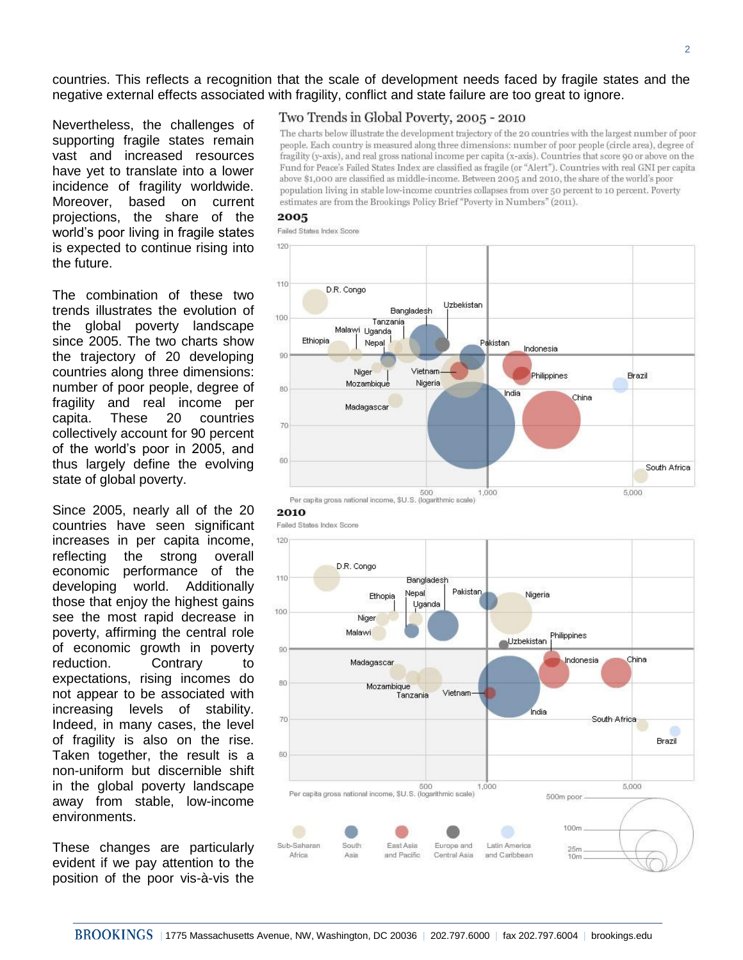countries. This reflects a recognition that the scale of development needs faced by fragile states and the negative external effects associated with fragility, conflict and state failure are too great to ignore.

Nevertheless, the challenges of supporting fragile states remain vast and increased resources have yet to translate into a lower incidence of fragility worldwide. Moreover, based on current projections, the share of the world's poor living in fragile states is expected to continue rising into the future.

The combination of these two trends illustrates the evolution of the global poverty landscape since 2005. The two charts show the trajectory of 20 developing countries along three dimensions: number of poor people, degree of fragility and real income per capita. These 20 countries collectively account for 90 percent of the world's poor in 2005, and thus largely define the evolving state of global poverty.

Since 2005, nearly all of the 20 countries have seen significant increases in per capita income, reflecting the strong overall economic performance of the developing world. Additionally those that enjoy the highest gains see the most rapid decrease in poverty, affirming the central role of economic growth in poverty reduction. Contrary to expectations, rising incomes do not appear to be associated with increasing levels of stability. Indeed, in many cases, the level of fragility is also on the rise. Taken together, the result is a non-uniform but discernible shift in the global poverty landscape away from stable, low-income environments.

These changes are particularly evident if we pay attention to the position of the poor vis-à-vis the

### Two Trends in Global Poverty, 2005 - 2010

The charts below illustrate the development trajectory of the 20 countries with the largest number of poor people. Each country is measured along three dimensions: number of poor people (circle area), degree of fragility (y-axis), and real gross national income per capita (x-axis). Countries that score 90 or above on the Fund for Peace's Failed States Index are classified as fragile (or "Alert"). Countries with real GNI per capita above \$1,000 are classified as middle-income. Between 2005 and 2010, the share of the world's poor population living in stable low-income countries collapses from over 50 percent to 10 percent. Poverty estimates are from the Brookings Policy Brief "Poverty in Numbers" (2011).

#### 2005

Failed States Index Score





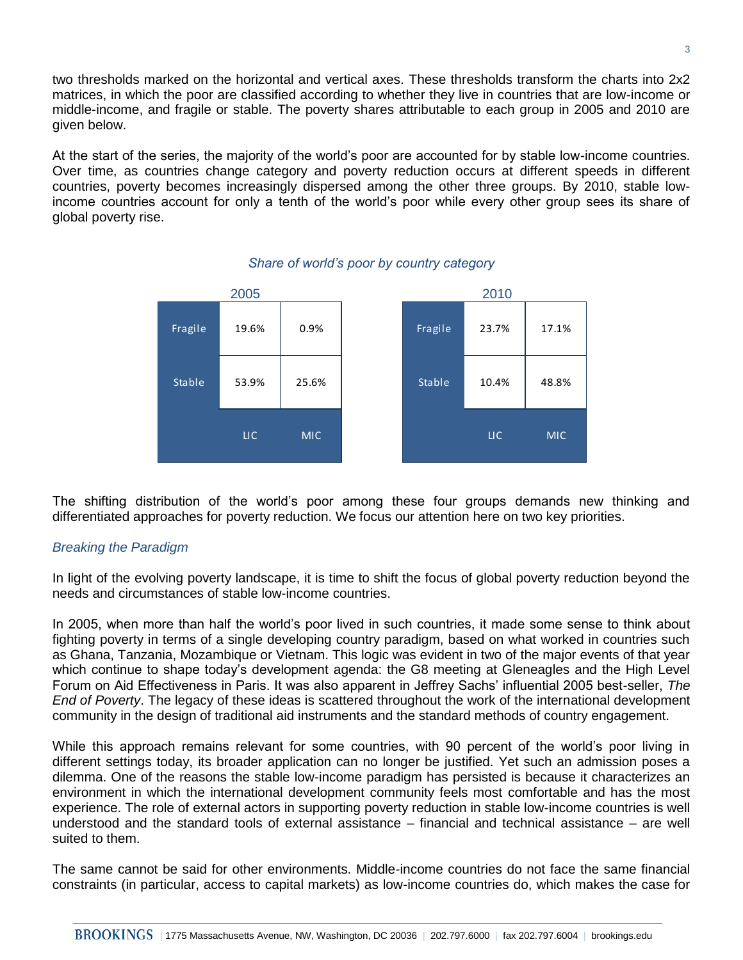two thresholds marked on the horizontal and vertical axes. These thresholds transform the charts into 2x2 matrices, in which the poor are classified according to whether they live in countries that are low-income or middle-income, and fragile or stable. The poverty shares attributable to each group in 2005 and 2010 are given below.

At the start of the series, the majority of the world's poor are accounted for by stable low-income countries. Over time, as countries change category and poverty reduction occurs at different speeds in different countries, poverty becomes increasingly dispersed among the other three groups. By 2010, stable lowincome countries account for only a tenth of the world's poor while every other group sees its share of global poverty rise.



## *Share of world's poor by country category*

The shifting distribution of the world's poor among these four groups demands new thinking and differentiated approaches for poverty reduction. We focus our attention here on two key priorities.

## *Breaking the Paradigm*

In light of the evolving poverty landscape, it is time to shift the focus of global poverty reduction beyond the needs and circumstances of stable low-income countries.

In 2005, when more than half the world's poor lived in such countries, it made some sense to think about fighting poverty in terms of a single developing country paradigm, based on what worked in countries such as Ghana, Tanzania, Mozambique or Vietnam. This logic was evident in two of the major events of that year which continue to shape today's development agenda: the G8 meeting at Gleneagles and the High Level Forum on Aid Effectiveness in Paris. It was also apparent in Jeffrey Sachs' influential 2005 best-seller, *The End of Poverty*. The legacy of these ideas is scattered throughout the work of the international development community in the design of traditional aid instruments and the standard methods of country engagement.

While this approach remains relevant for some countries, with 90 percent of the world's poor living in different settings today, its broader application can no longer be justified. Yet such an admission poses a dilemma. One of the reasons the stable low-income paradigm has persisted is because it characterizes an environment in which the international development community feels most comfortable and has the most experience. The role of external actors in supporting poverty reduction in stable low-income countries is well understood and the standard tools of external assistance – financial and technical assistance – are well suited to them.

The same cannot be said for other environments. Middle-income countries do not face the same financial